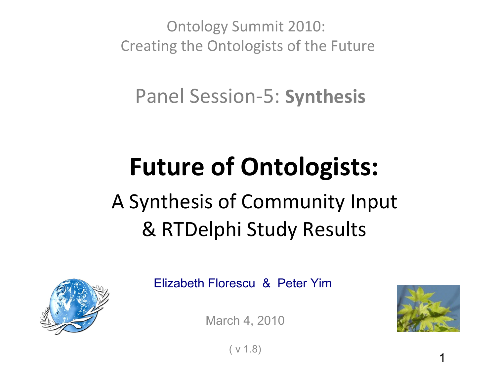Ontology Summit 2010: Creating the Ontologists of the Future

Panel Session-5: **Synthesis**

# **Future of Ontologists:** A Synthesis of Community Input & RTDelphi Study Results



Elizabeth Florescu & Peter Yim

March 4, 2010



( v 1.8)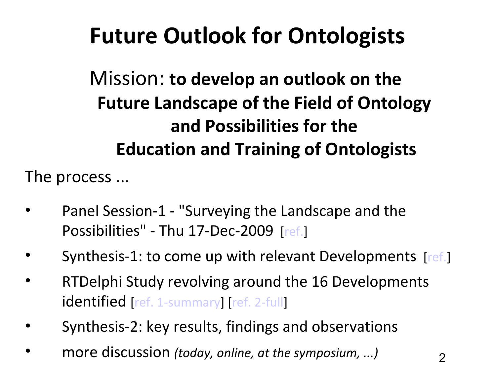## **Future Outlook for Ontologists**

Mission: **to develop an outlook on the Future Landscape of the Field of Ontology and Possibilities for the Education and Training of Ontologists**

The process ...

- Panel Session-1 "Surveying the Landscape and the Possibilities" - Thu 17-Dec-2009 [[ref.](file:///C:/Users/yimpp/Desktop/OntologySummit2010/2010-03-04_Synthesis-Panel/""http://ontolog.cim3.net/cgi-bin/wiki.pl?ConferenceCall_2010_03_04#nid2A6U http://snipurl.com/umpo2)]
- Synthesis-1: to come up with relevant Developments [[ref.](http://ontolog.cim3.net/cgi-bin/wiki.pl?OntologySummit2010_FutureDevelopments_Synthesis#nid279C)]
- RTDelphi Study revolving around the 16 Developments identified [[ref. 1-summary](http://ontolog.cim3.net/file/work/OntologySummit2010/studies/RTDelphi-3/Future-of-Ontologists-RTD_Results-1_20100225a.pdf)] [[ref. 2-full](http://ontolog.cim3.net/file/work/OntologySummit2010/studies/RTDelphi-3/Future-of-Ontologists-RTD_Results-All_20100225a.doc)]
- Synthesis-2: key results, findings and observations
- more discussion *(today, online, at the symposium, ...)*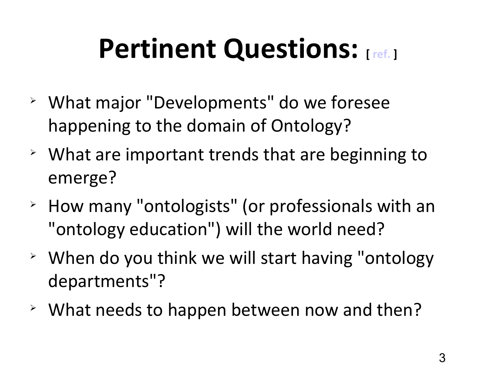# **Pertinent Questions:** [**[ref.](http://ontolog.cim3.net/cgi-bin/wiki.pl?OntologySummit2010_FutureDevelopments_Synthesis#nid25H3)**]

- What major "Developments" do we foresee happening to the domain of Ontology?
- $\geq$  What are important trends that are beginning to emerge?
- How many "ontologists" (or professionals with an "ontology education") will the world need?
- $\rightarrow$  When do you think we will start having "ontology departments"?
- What needs to happen between now and then?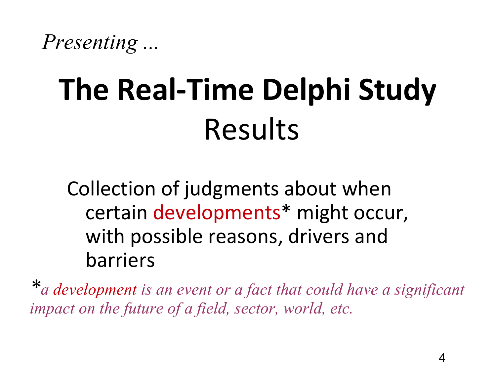*Presenting ...*

# **The Real-Time Delphi Study** Results

Collection of judgments about when certain developments\* might occur, with possible reasons, drivers and barriers

*\*a development is an event or a fact that could have a significant impact on the future of a field, sector, world, etc.*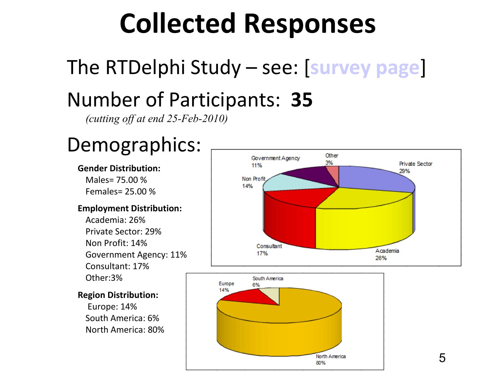# **Collected Responses**

# The RTDelphi Study – see: [**[survey page](http://ontolog.cim3.net/cgi-bin/wiki.pl?OntologySummit2010_Survey#nid28DS)**]

### Number of Participants: **35**

*(cutting off at end 25-Feb-2010)*

### Demographics:

#### **Gender Distribution:**

Males= 75.00 % Females= 25.00 %

#### **Employment Distribution:**

Academia: 26% Private Sector: 29% Non Profit: 14% Government Agency: 11% Consultant: 17% Other:3%

#### **Region Distribution:**

 Europe: 14% South America: 6% North America: 80%



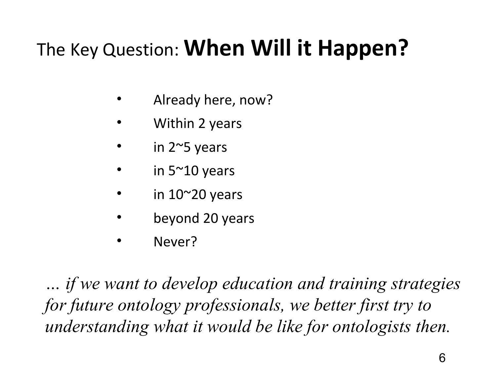### The Key Question: **When Will it Happen?**

- Already here, now?
- Within 2 years
- in  $2^{\sim}5$  years
- in  $5^{\sim}10$  years
- in  $10^{\sim}20$  years
- beyond 20 years
- Never?

*… if we want to develop education and training strategies for future ontology professionals, we better first try to understanding what it would be like for ontologists then.*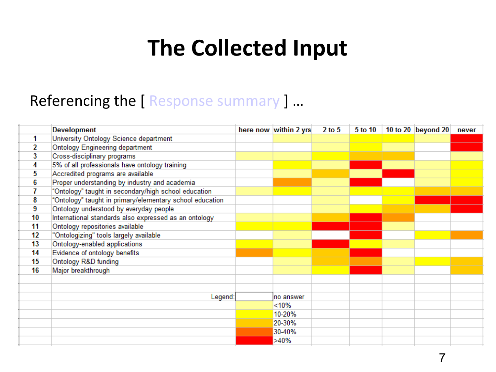## **The Collected Input**

|    | <b>Development</b>                                       | here now within 2 yrs | $2$ to $5$ | 5 to 10 | 10 to 20 beyond 20 | never |
|----|----------------------------------------------------------|-----------------------|------------|---------|--------------------|-------|
|    | University Ontology Science department                   |                       |            |         |                    |       |
| 2  | Ontology Engineering department                          |                       |            |         |                    |       |
| 3  | Cross-disciplinary programs                              |                       |            |         |                    |       |
| 4  | 5% of all professionals have ontology training           |                       |            |         |                    |       |
| 5  | Accredited programs are available                        |                       |            |         |                    |       |
| 6  | Proper understanding by industry and academia            |                       |            |         |                    |       |
| 7  | "Ontology" taught in secondary/high school education     |                       |            |         |                    |       |
| 8  | "Ontology" taught in primary/elementary school education |                       |            |         |                    |       |
| 9  | Ontology understood by everyday people                   |                       |            |         |                    |       |
| 10 | International standards also expressed as an ontology    |                       |            |         |                    |       |
| 11 | Ontology repositories available                          |                       |            |         |                    |       |
| 12 | "Ontologizing" tools largely available                   |                       |            |         |                    |       |
| 13 | Ontology-enabled applications                            |                       |            |         |                    |       |
| 14 | Evidence of ontology benefits                            |                       |            |         |                    |       |
| 15 | Ontology R&D funding                                     |                       |            |         |                    |       |
| 16 | Major breakthrough                                       |                       |            |         |                    |       |
|    |                                                          |                       |            |         |                    |       |
|    |                                                          |                       |            |         |                    |       |
|    | Legend:                                                  | no answer             |            |         |                    |       |
|    |                                                          | <10%                  |            |         |                    |       |
|    |                                                          | 10-20%                |            |         |                    |       |
|    |                                                          | 20-30%                |            |         |                    |       |
|    |                                                          | 30-40%                |            |         |                    |       |
|    |                                                          | >40%                  |            |         |                    |       |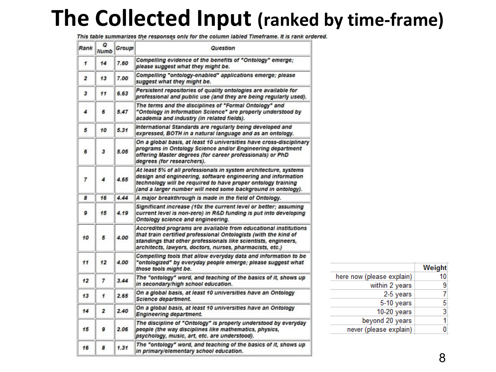### **The Collected Input (ranked by time-frame)**

This table summarizes the responses only for the column labled Timeframe. It is rank ordered.

| Rank           | Q<br><b>Numb</b>        | Group | Question                                                                                                                                                                                                                                                         |  |  |  |  |  |  |
|----------------|-------------------------|-------|------------------------------------------------------------------------------------------------------------------------------------------------------------------------------------------------------------------------------------------------------------------|--|--|--|--|--|--|
| 1              | 14                      | 7.60  | Compelling evidence of the benefits of "Ontology" emerge;<br>please suggest what they might be.                                                                                                                                                                  |  |  |  |  |  |  |
| $\overline{2}$ | 13                      | 7.00  | Compelling "ontology-enabled" applications emerge; please<br>suggest what they might be.                                                                                                                                                                         |  |  |  |  |  |  |
| 3              | 11                      | 6.63  | Persistent repositories of quality ontologies are available for<br>professional and public use (and they are being regularly used).                                                                                                                              |  |  |  |  |  |  |
| 4              | 6                       | 5.47  | The terms and the disciplines of "Formal Ontology" and<br>"Ontology in Information Science" are properly understood by<br>academia and industry (in related fields).                                                                                             |  |  |  |  |  |  |
| 5              | 10                      | 5.31  | International Standards are regularly being developed and<br>expressed, BOTH in a natural language and as an ontology.                                                                                                                                           |  |  |  |  |  |  |
| 6              | 3                       | 5.05  | On a global basis, at least 10 universities have cross-disciplinary<br>programs in Ontology Science and/or Engineering department<br>offering Master degrees (for career professionals) or PhD<br>degrees (for researchers).                                     |  |  |  |  |  |  |
| $\overline{7}$ | 4                       | 4.65  | At least 5% of all professionals in system architecture, systems<br>design and engineering, software engineering and information<br>technology will be required to have proper ontology training<br>(and a larger number will need some background in ontology). |  |  |  |  |  |  |
| 8              | 16                      | 4.44  | A major breakthrough is made in the field of Ontology.                                                                                                                                                                                                           |  |  |  |  |  |  |
| 9              | 15                      | 4.19  | Significant increase (10x the current level or better; assuming<br>current level is non-zero) in R&D funding is put into developing<br>Ontology science and engineering.                                                                                         |  |  |  |  |  |  |
| 10             | 5                       | 4.00  | Accredited programs are available from educational institutions<br>that train certified professional Ontologists (with the kind of<br>standings that other professionals like scientists, engineers,<br>architects, lawyers, doctors, nurses, pharmacists, etc.) |  |  |  |  |  |  |
| 11             | 12                      | 4.00  | Compelling tools that allow everyday data and information to be<br>"ontologized" by everyday people emerge; please suggest what<br>those tools might be.                                                                                                         |  |  |  |  |  |  |
| 12             | 7                       | 3.44  | The "ontology" word, and teaching of the basics of it, shows up<br>in secondary/high school education.                                                                                                                                                           |  |  |  |  |  |  |
| 13             | 1                       | 2.65  | On a global basis, at least 10 universities have an Ontology<br>Science department.                                                                                                                                                                              |  |  |  |  |  |  |
| 14             | $\overline{\mathbf{2}}$ | 2.40  | On a global basis, at least 10 universities have an Ontology<br><b>Engineering department.</b>                                                                                                                                                                   |  |  |  |  |  |  |
| 15             | 9                       | 2.06  | The discipline of "Ontology" is properly understood by everyday<br>people (the way disciplines like mathematics, physics,<br>psychology, music, art, etc. are understood).                                                                                       |  |  |  |  |  |  |
| 16             | 8                       | 1.31  | The "ontology" word, and teaching of the basics of it, shows up<br>in primary/elementary school education.                                                                                                                                                       |  |  |  |  |  |  |

|                           | Weight |
|---------------------------|--------|
| here now (please explain) | 10     |
| within 2 years            | 9      |
| 2-5 years                 |        |
| 5-10 years                | 5      |
| $10-20$ years             | 3      |
| beyond 20 years           | 1      |
| never (please explain)    |        |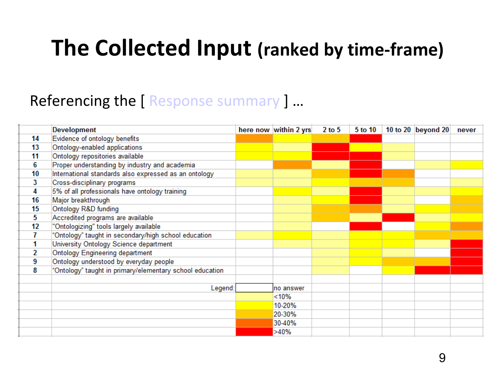### **The Collected Input (ranked by time-frame)**

|    | <b>Development</b>                                       | here now within 2 yrs | $2$ to $5$ | 5 to 10 | 10 to 20 beyond 20 | never |
|----|----------------------------------------------------------|-----------------------|------------|---------|--------------------|-------|
| 14 | Evidence of ontology benefits                            |                       |            |         |                    |       |
| 13 | Ontology-enabled applications                            |                       |            |         |                    |       |
| 11 | Ontology repositories available                          |                       |            |         |                    |       |
| 6  | Proper understanding by industry and academia            |                       |            |         |                    |       |
| 10 | International standards also expressed as an ontology    |                       |            |         |                    |       |
| 3  | Cross-disciplinary programs                              |                       |            |         |                    |       |
| 4  | 5% of all professionals have ontology training           |                       |            |         |                    |       |
| 16 | Major breakthrough                                       |                       |            |         |                    |       |
| 15 | Ontology R&D funding                                     |                       |            |         |                    |       |
| 5  | Accredited programs are available                        |                       |            |         |                    |       |
| 12 | "Ontologizing" tools largely available                   |                       |            |         |                    |       |
|    | "Ontology" taught in secondary/high school education     |                       |            |         |                    |       |
| 1  | University Ontology Science department                   |                       |            |         |                    |       |
| 2  | <b>Ontology Engineering department</b>                   |                       |            |         |                    |       |
| 9  | Ontology understood by everyday people                   |                       |            |         |                    |       |
| 8  | "Ontology" taught in primary/elementary school education |                       |            |         |                    |       |
|    |                                                          |                       |            |         |                    |       |
|    | Legend:                                                  | no answer             |            |         |                    |       |
|    |                                                          | <10%                  |            |         |                    |       |
|    |                                                          | 10-20%                |            |         |                    |       |
|    |                                                          | 20-30%                |            |         |                    |       |
|    |                                                          | 30-40%                |            |         |                    |       |
|    |                                                          | >40%                  |            |         |                    |       |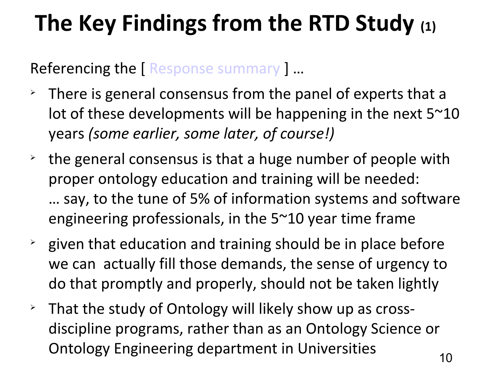## **The Key Findings from the RTD Study (1)**

- $\ge$  There is general consensus from the panel of experts that a lot of these developments will be happening in the next  $5^{\sim}10$ years *(some earlier, some later, of course!)*
- $\rightarrow$  the general consensus is that a huge number of people with proper ontology education and training will be needed: … say, to the tune of 5% of information systems and software engineering professionals, in the 5~10 year time frame
- $\rightarrow$  given that education and training should be in place before we can actually fill those demands, the sense of urgency to do that promptly and properly, should not be taken lightly
- $\ge$  That the study of Ontology will likely show up as crossdiscipline programs, rather than as an Ontology Science or Ontology Engineering department in Universities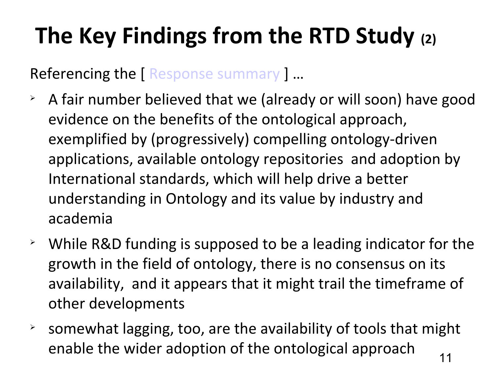# **The Key Findings from the RTD Study (2)**

- $\rightarrow$  A fair number believed that we (already or will soon) have good evidence on the benefits of the ontological approach, exemplified by (progressively) compelling ontology-driven applications, available ontology repositories and adoption by International standards, which will help drive a better understanding in Ontology and its value by industry and academia
- $\geq$  While R&D funding is supposed to be a leading indicator for the growth in the field of ontology, there is no consensus on its availability, and it appears that it might trail the timeframe of other developments
- $\rightarrow$  somewhat lagging, too, are the availability of tools that might enable the wider adoption of the ontological approach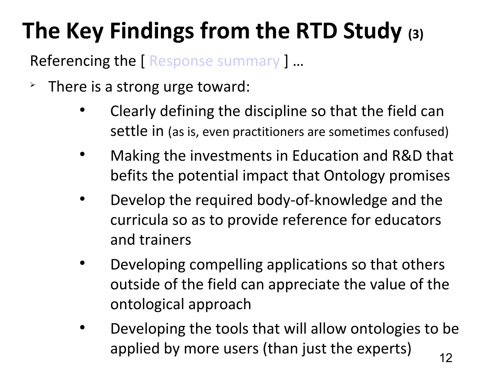# **The Key Findings from the RTD Study (3)**

- $\geq$  There is a strong urge toward:
	- Clearly defining the discipline so that the field can settle in (as is, even practitioners are sometimes confused)
	- Making the investments in Education and R&D that befits the potential impact that Ontology promises
	- Develop the required body-of-knowledge and the curricula so as to provide reference for educators and trainers
	- Developing compelling applications so that others outside of the field can appreciate the value of the ontological approach
	- 12 Developing the tools that will allow ontologies to be applied by more users (than just the experts)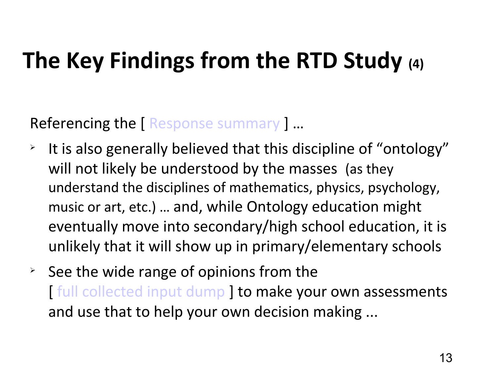### **The Key Findings from the RTD Study (4)**

- $\geq$  It is also generally believed that this discipline of "ontology" will not likely be understood by the masses (as they understand the disciplines of mathematics, physics, psychology, music or art, etc.) … and, while Ontology education might eventually move into secondary/high school education, it is unlikely that it will show up in primary/elementary schools
- $\geq$  See the wide range of opinions from the [ [full collected input dump](http://ontolog.cim3.net/file/work/OntologySummit2010/studies/RTDelphi-3/Future-of-Ontologists-RTD_Results-All_20100225a.doc) ] to make your own assessments and use that to help your own decision making ...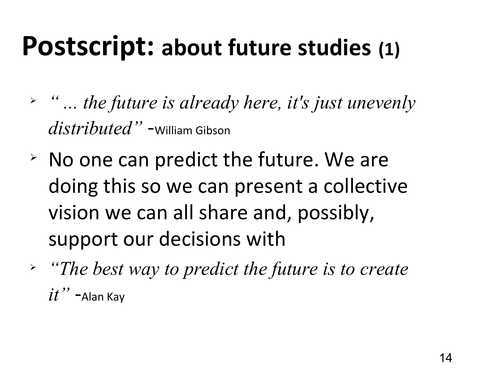# **Postscript: about future studies (1)**

- *" ... the future is already here, it's just unevenly distributed"* -William Gibson
- $\geq$  No one can predict the future. We are doing this so we can present a collective vision we can all share and, possibly, support our decisions with
- *"The best way to predict the future is to create*   $it"$  -Alan Kay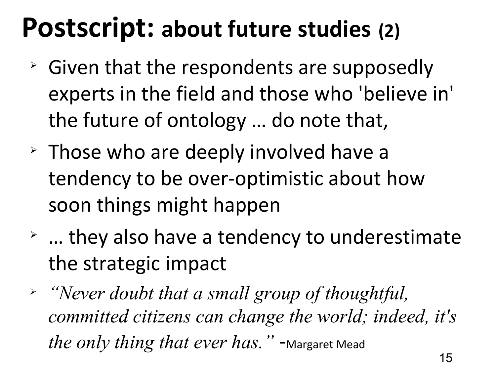# **Postscript: about future studies (2)**

- $\geq$  Given that the respondents are supposedly experts in the field and those who 'believe in' the future of ontology … do note that,
- $\geq$  Those who are deeply involved have a tendency to be over-optimistic about how soon things might happen
- $\rightarrow$  ... they also have a tendency to underestimate the strategic impact
- *"Never doubt that a small group of thoughtful, committed citizens can change the world; indeed, it's the only thing that ever has.*" -Margaret Mead